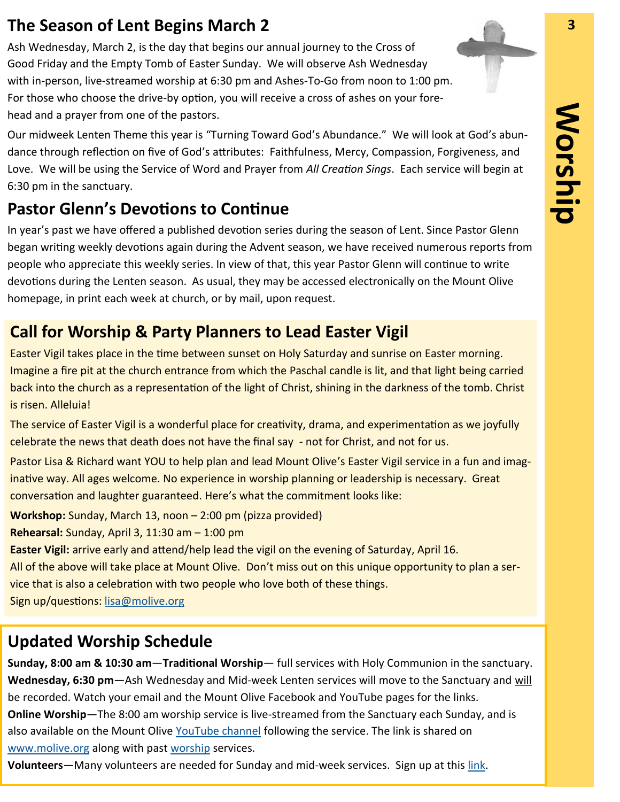### **The Season of Lent Begins March 2 3**

Ash Wednesday, March 2, is the day that begins our annual journey to the Cross of Good Friday and the Empty Tomb of Easter Sunday. We will observe Ash Wednesday with in-person, live-streamed worship at 6:30 pm and Ashes-To-Go from noon to 1:00 pm. For those who choose the drive-by option, you will receive a cross of ashes on your forehead and a prayer from one of the pastors.

Our midweek Lenten Theme this year is "Turning Toward God's Abundance." We will look at God's abundance through reflection on five of God's attributes: Faithfulness, Mercy, Compassion, Forgiveness, and Love. We will be using the Service of Word and Prayer from *All Creation Sings*. Each service will begin at 6:30 pm in the sanctuary.

## **Pastor Glenn's Devotions to Continue**

In year's past we have offered a published devotion series during the season of Lent. Since Pastor Glenn began writing weekly devotions again during the Advent season, we have received numerous reports from people who appreciate this weekly series. In view of that, this year Pastor Glenn will continue to write devotions during the Lenten season. As usual, they may be accessed electronically on the Mount Olive homepage, in print each week at church, or by mail, upon request.

#### **Call for Worship & Party Planners to Lead Easter Vigil**

Easter Vigil takes place in the time between sunset on Holy Saturday and sunrise on Easter morning. Imagine a fire pit at the church entrance from which the Paschal candle is lit, and that light being carried back into the church as a representation of the light of Christ, shining in the darkness of the tomb. Christ is risen. Alleluia!

The service of Easter Vigil is a wonderful place for creativity, drama, and experimentation as we joyfully celebrate the news that death does not have the final say - not for Christ, and not for us.

Pastor Lisa & Richard want YOU to help plan and lead Mount Olive's Easter Vigil service in a fun and imaginative way. All ages welcome. No experience in worship planning or leadership is necessary. Great conversation and laughter guaranteed. Here's what the commitment looks like:

**Workshop:** Sunday, March 13, noon – 2:00 pm (pizza provided)

**Rehearsal:** Sunday, April 3, 11:30 am – 1:00 pm

**Easter Vigil:** arrive early and attend/help lead the vigil on the evening of Saturday, April 16.

All of the above will take place at Mount Olive. Don't miss out on this unique opportunity to plan a service that is also a celebration with two people who love both of these things.

Sign up/questions: [lisa@molive.org](mailto:lisa@molive.org)

#### **Updated Worship Schedule**

**Sunday, 8:00 am & 10:30 am**—**Traditional Worship**— full services with Holy Communion in the sanctuary. **Wednesday, 6:30 pm**—Ash Wednesday and Mid-week Lenten services will move to the Sanctuary and will not be recorded.

**Online Worship**—The 8:00 am worship service is live-streamed from the Sanctuary each Sunday, and is also available on the Mount Olive [YouTube channel](https://www.youtube.com/user/MountOliveELCA) following the service. The link is shared on [www.molive.org](http://www.molive.org) along with past [worship](http://molive.org/index.php/sermons) services.

**Volunteers**—Many volunteers are needed for Sunday and mid-week services. Sign up at this [link.](https://www.signupgenius.com/go/20f0449a5a92aa1fb6-mount1)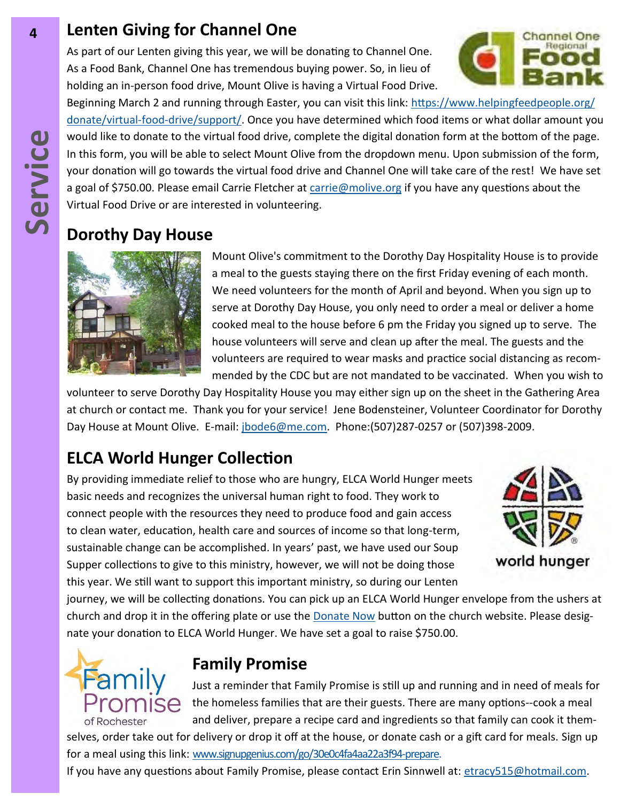#### **4 Lenten Giving for Channel One**

As part of our Lenten giving this year, we will be donating to Channel One. As a Food Bank, Channel One has tremendous buying power. So, in lieu of holding an in-person food drive, Mount Olive is having a Virtual Food Drive.



Beginning March 2 and running through Easter, you can visit this link: [https://www.helpingfeedpeople.org/](https://www.helpingfeedpeople.org/donate/virtual-food-drive/support/) donate/virtual-food-[drive/support/.](https://www.helpingfeedpeople.org/donate/virtual-food-drive/support/) Once you have determined which food items or what dollar amount you would like to donate to the virtual food drive, complete the digital donation form at the bottom of the page. In this form, you will be able to select Mount Olive from the dropdown menu. Upon submission of the form, your donation will go towards the virtual food drive and Channel One will take care of the rest! We have set a goal of \$750.00. Please email Carrie Fletcher at [carrie@molive.org](mailto:carrie@molive.org) if you have any questions about the Virtual Food Drive or are interested in volunteering.

#### **Dorothy Day House**



Mount Olive's commitment to the Dorothy Day Hospitality House is to provide a meal to the guests staying there on the first Friday evening of each month. We need volunteers for the month of April and beyond. When you sign up to serve at Dorothy Day House, you only need to order a meal or deliver a home cooked meal to the house before 6 pm the Friday you signed up to serve. The house volunteers will serve and clean up after the meal. The guests and the volunteers are required to wear masks and practice social distancing as recommended by the CDC but are not mandated to be vaccinated. When you wish to

volunteer to serve Dorothy Day Hospitality House you may either sign up on the sheet in the Gathering Area at church or contact me. Thank you for your service! Jene Bodensteiner, Volunteer Coordinator for Dorothy Day House at Mount Olive. E-mail: [jbode6@me.com.](mailto:jbode6@me.com) Phone:(507)287-0257 or (507)398-2009.

# **ELCA World Hunger Collection**

By providing immediate relief to those who are hungry, ELCA World Hunger meets basic needs and recognizes the universal human right to food. They work to connect people with the resources they need to produce food and gain access to clean water, education, health care and sources of income so that long-term, sustainable change can be accomplished. In years' past, we have used our Soup Supper collections to give to this ministry, however, we will not be doing those this year. We still want to support this important ministry, so during our Lenten



journey, we will be collecting donations. You can pick up an ELCA World Hunger envelope from the ushers at church and drop it in the offering plate or use the **[Donate Now](https://secure.myvanco.com/YKR4/home) button on the church website**. Please designate your donation to ELCA World Hunger. We have set a goal to raise \$750.00.



#### **Family Promise**

Just a reminder that Family Promise is still up and running and in need of meals for  $\mathsf{H}\mathsf{S}\mathsf{A}$  the homeless families that are their guests. There are many options--cook a meal and deliver, prepare a recipe card and ingredients so that family can cook it them-

selves, order take out for delivery or drop it off at the house, or donate cash or a gift card for meals. Sign up for a meal using this link: [www.signupgenius.com/go/30e0c4fa4aa22a3f94](https://www.signupgenius.com/go/30e0c4fa4aa22a3f94-prepare.)-prepare.

If you have any questions about Family Promise, please contact Erin Sinnwell at: [etracy515@hotmail.com.](mailto:etracy515@hotmail.com)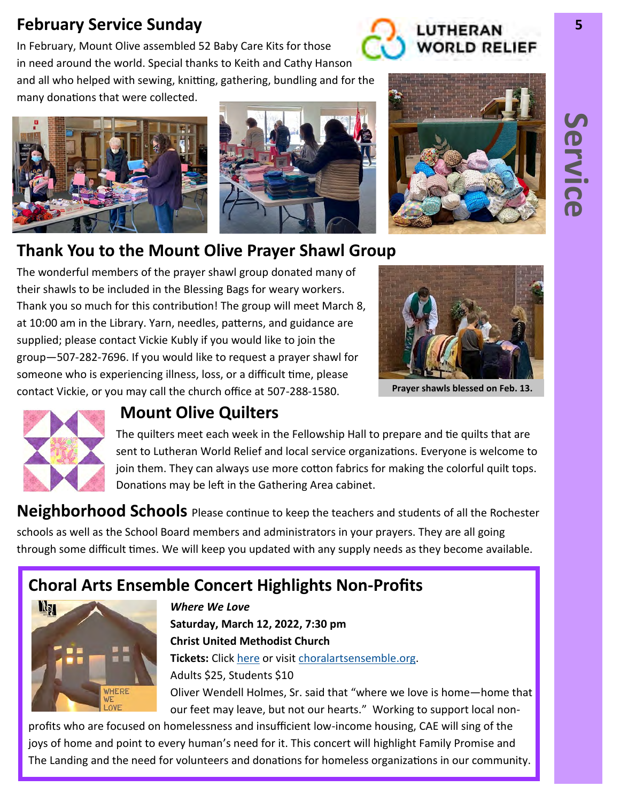#### **February Service Sunday 5**

In February, Mount Olive assembled 52 Baby Care Kits for those in need around the world. Special thanks to Keith and Cathy Hanson and all who helped with sewing, knitting, gathering, bundling and for the many donations that were collected.







**WORLD RELIEF** 

# **Thank You to the Mount Olive Prayer Shawl Group**

The wonderful members of the prayer shawl group donated many of their shawls to be included in the Blessing Bags for weary workers. Thank you so much for this contribution! The group will meet March 8, at 10:00 am in the Library. Yarn, needles, patterns, and guidance are supplied; please contact Vickie Kubly if you would like to join the group—507-282-7696. If you would like to request a prayer shawl for someone who is experiencing illness, loss, or a difficult time, please contact Vickie, or you may call the church office at 507-288-1580.



**Prayer shawls blessed on Feb. 13.**



#### **Mount Olive Quilters**

The quilters meet each week in the Fellowship Hall to prepare and tie quilts that are sent to Lutheran World Relief and local service organizations. Everyone is welcome to join them. They can always use more cotton fabrics for making the colorful quilt tops. Donations may be left in the Gathering Area cabinet.

**Neighborhood Schools** Please continue to keep the teachers and students of all the Rochester schools as well as the School Board members and administrators in your prayers. They are all going through some difficult times. We will keep you updated with any supply needs as they become available.

# **Choral Arts Ensemble Concert Highlights Non-Profits**



*Where We Love* **Saturday, March 12, 2022, 7:30 pm Christ United Methodist Church Tickets:** Click [here](https://app.arts-people.com/index.php?show=128963) or visit [choralartsensemble.org.](https://www.choralartsensemble.org/) Adults \$25, Students \$10 Oliver Wendell Holmes, Sr. said that "where we love is home—home that our feet may leave, but not our hearts." Working to support local non-

profits who are focused on homelessness and insufficient low-income housing, CAE will sing of the joys of home and point to every human's need for it. This concert will highlight Family Promise and The Landing and the need for volunteers and donations for homeless organizations in our community.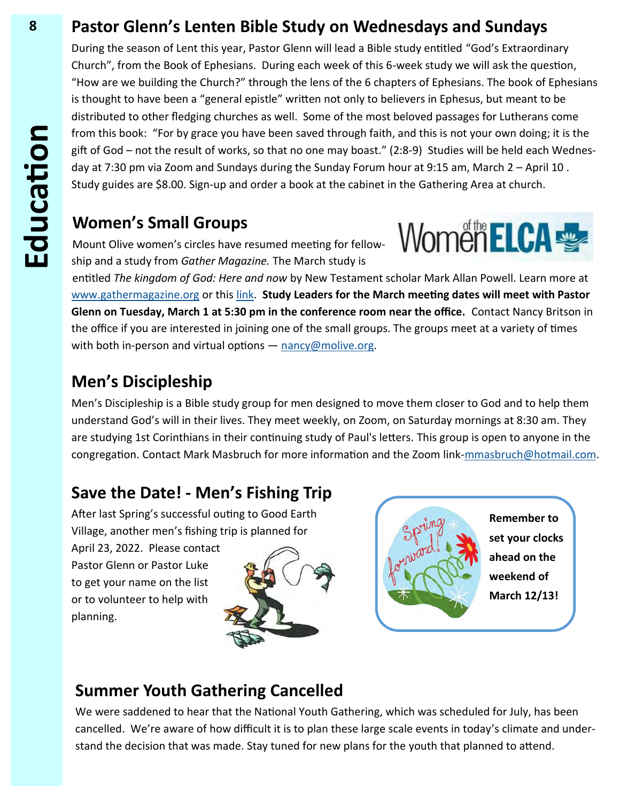#### **8 Pastor Glenn's Lenten Bible Study on Wednesdays and Sundays**

During the season of Lent this year, Pastor Glenn will lead a Bible study entitled "God's Extraordinary Church", from the Book of Ephesians. During each week of this 6-week study we will ask the question, "How are we building the Church?" through the lens of the 6 chapters of Ephesians. The book of Ephesians is thought to have been a "general epistle" written not only to believers in Ephesus, but meant to be distributed to other fledging churches as well. Some of the most beloved passages for Lutherans come from this book: "For by grace you have been saved through faith, and this is not your own doing; it is the gift of God – not the result of works, so that no one may boast." (2:8-9) Studies will be held each Wednesday at 7:30 pm via Zoom and Sundays during the Sunday Forum hour at 9:15 am, March 2 – April 10 . Study guides are \$8.00. Sign-up and order a book at the cabinet in the Gathering Area at church.

#### **Women's Small Groups**

Mount Olive women's circles have resumed meeting for fellowship and a study from *Gather Magazine.* The March study is



entitled *The kingdom of God: Here and now* by New Testament scholar Mark Allan Powell. Learn more at [www.gathermagazine.org](http://www.gathermagazine.org) or this [link.](https://www.gathermagazine.org/winter-2022-the-kingdom-of-god-by-the-rev-mark-allan-powell/) **Study Leaders for the March meeting dates will meet with Pastor Glenn on Tuesday, March 1 at 5:30 pm in the conference room near the office.** Contact Nancy Britson in the office if you are interested in joining one of the small groups. The groups meet at a variety of times with both in-person and virtual options - [nancy@molive.org.](mailto:nancy@molive.org)

#### **Men's Discipleship**

Men's Discipleship is a Bible study group for men designed to move them closer to God and to help them understand God's will in their lives. They meet weekly, on Zoom, on Saturday mornings at 8:30 am. They are studying 1st Corinthians in their continuing study of Paul's letters. This group is open to anyone in the congregation. Contact Mark Masbruch for more information and the Zoom link-[mmasbruch@hotmail.com.](mailto:mmasbruch@hotmail.com)

#### **Save the Date! - Men's Fishing Trip**

After last Spring's successful outing to Good Earth Village, another men's fishing trip is planned for

April 23, 2022. Please contact Pastor Glenn or Pastor Luke to get your name on the list or to volunteer to help with planning.





**Remember to set your clocks ahead on the weekend of March 12/13!**

#### **Summer Youth Gathering Cancelled**

We were saddened to hear that the National Youth Gathering, which was scheduled for July, has been cancelled. We're aware of how difficult it is to plan these large scale events in today's climate and understand the decision that was made. Stay tuned for new plans for the youth that planned to attend.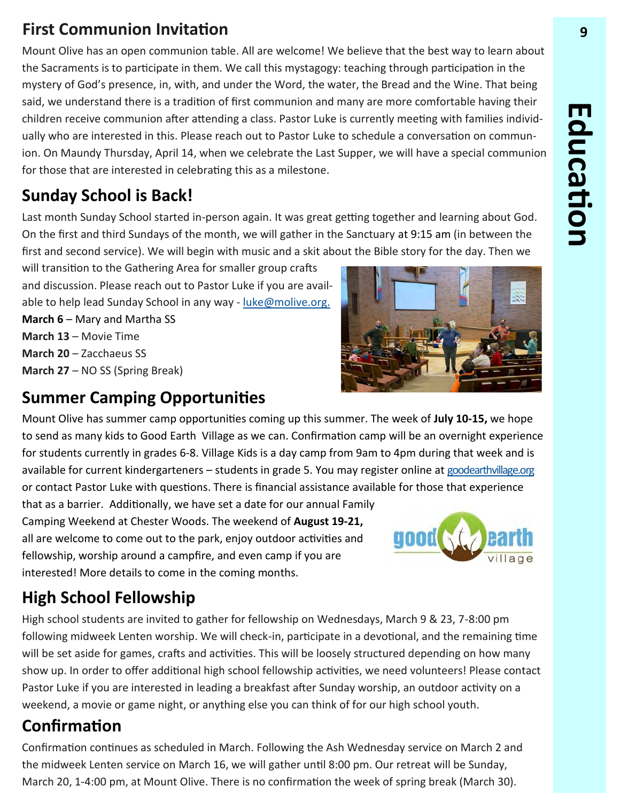# **First Communion Invitation 9**

Mount Olive has an open communion table. All are welcome! We believe that the best way to learn about the Sacraments is to participate in them. We call this mystagogy: teaching through participation in the mystery of God's presence, in, with, and under the Word, the water, the Bread and the Wine. That being said, we understand there is a tradition of first communion and many are more comfortable having their children receive communion after attending a class. Pastor Luke is currently meeting with families individually who are interested in this. Please reach out to Pastor Luke to schedule a conversation on communion. On Maundy Thursday, April 14, when we celebrate the Last Supper, we will have a special communion for those that are interested in celebrating this as a milestone.

# **Sunday School is Back!**

Last month Sunday School started in-person again. It was great getting together and learning about God. On the first and third Sundays of the month, we will gather in the Sanctuary at 9:15 am (in between the first and second service). We will begin with music and a skit about the Bible story for the day. Then we

will transition to the Gathering Area for smaller group crafts and discussion. Please reach out to Pastor Luke if you are available to help lead Sunday School in any way - [luke@molive.org.](mailto:luke@molive.org)

**March 6 – Mary and Martha SS March 13** – Movie Time **March 20** – Zacchaeus SS **March 27** – NO SS (Spring Break)

## **Summer Camping Opportunities**

Mount Olive has summer camp opportunities coming up this summer. The week of **July 10-15,** we hope to send as many kids to Good Earth Village as we can. Confirmation camp will be an overnight experience for students currently in grades 6-8. Village Kids is a day camp from 9am to 4pm during that week and is available for current kindergarteners – students in grade 5. You may register online at [goodearthvillage.org](http://goodearthvillage.org/) or contact Pastor Luke with questions. There is financial assistance available for those that experience

that as a barrier. Additionally, we have set a date for our annual Family Camping Weekend at Chester Woods. The weekend of **August 19-21,**  all are welcome to come out to the park, enjoy outdoor activities and fellowship, worship around a campfire, and even camp if you are interested! More details to come in the coming months.

# **High School Fellowship**

High school students are invited to gather for fellowship on Wednesdays, March 9 & 23, 7-8:00 pm following midweek Lenten worship. We will check-in, participate in a devotional, and the remaining time will be set aside for games, crafts and activities. This will be loosely structured depending on how many show up. In order to offer additional high school fellowship activities, we need volunteers! Please contact Pastor Luke if you are interested in leading a breakfast after Sunday worship, an outdoor activity on a weekend, a movie or game night, or anything else you can think of for our high school youth.

# **Confirmation**

Confirmation continues as scheduled in March. Following the Ash Wednesday service on March 2 and the midweek Lenten service on March 16, we will gather until 8:00 pm. Our retreat will be Sunday, March 20, 1-4:00 pm, at Mount Olive. There is no confirmation the week of spring break (March 30).



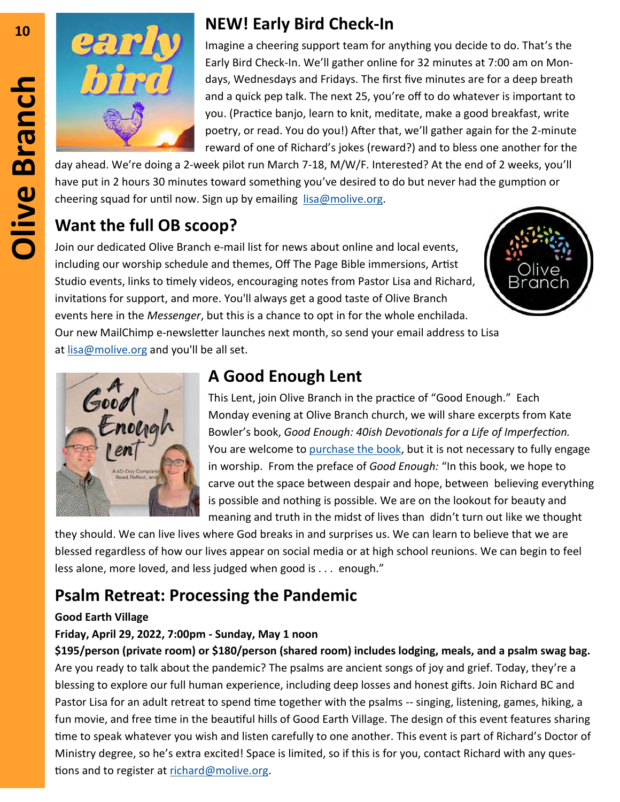

# **<sup>10</sup> NEW! Early Bird Check-In**

Imagine a cheering support team for anything you decide to do. That's the Early Bird Check-In. We'll gather online for 32 minutes at 7:00 am on Mondays, Wednesdays and Fridays. The first five minutes are for a deep breath and a quick pep talk. The next 25, you're off to do whatever is important to you. (Practice banjo, learn to knit, meditate, make a good breakfast, write poetry, or read. You do you!) After that, we'll gather again for the 2-minute reward of one of Richard's jokes (reward?) and to bless one another for the

day ahead. We're doing a 2-week pilot run March 7-18, M/W/F. Interested? At the end of 2 weeks, you'll have put in 2 hours 30 minutes toward something you've desired to do but never had the gumption or cheering squad for until now. Sign up by emailing  $lisa@molive.org$ .

#### **Want the full OB scoop?**

Join our dedicated Olive Branch e-mail list for news about online and local events, including our worship schedule and themes, Off The Page Bible immersions, Artist Studio events, links to timely videos, encouraging notes from Pastor Lisa and Richard, invitations for support, and more. You'll always get a good taste of Olive Branch events here in the *Messenger*, but this is a chance to opt in for the whole enchilada. Our new MailChimp e-newsletter launches next month, so send your email address to Lisa at [lisa@molive.org](mailto:lisa@molive.org) and you'll be all set.





## **A Good Enough Lent**

This Lent, join Olive Branch in the practice of "Good Enough." Each Monday evening at Olive Branch church, we will share excerpts from Kate Bowler's book, *Good Enough: 40ish Devotionals for a Life of Imperfection.*  You are welcome to [purchase the book,](https://katebowler.com/good-enough/) but it is not necessary to fully engage in worship. From the preface of *Good Enough:* "In this book, we hope to carve out the space between despair and hope, between believing everything is possible and nothing is possible. We are on the lookout for beauty and meaning and truth in the midst of lives than didn't turn out like we thought

they should. We can live lives where God breaks in and surprises us. We can learn to believe that we are blessed regardless of how our lives appear on social media or at high school reunions. We can begin to feel less alone, more loved, and less judged when good is . . . enough."

## **Psalm Retreat: Processing the Pandemic**

#### **Good Earth Village**

#### **Friday, April 29, 2022, 7:00pm - Sunday, May 1 noon**

**\$195/person (private room) or \$180/person (shared room) includes lodging, meals, and a psalm swag bag.**  Are you ready to talk about the pandemic? The psalms are ancient songs of joy and grief. Today, they're a blessing to explore our full human experience, including deep losses and honest gifts. Join Richard BC and Pastor Lisa for an adult retreat to spend time together with the psalms -- singing, listening, games, hiking, a fun movie, and free time in the beautiful hills of Good Earth Village. The design of this event features sharing time to speak whatever you wish and listen carefully to one another. This event is part of Richard's Doctor of Ministry degree, so he's extra excited! Space is limited, so if this is for you, contact Richard with any questions and to register at [richard@molive.org.](mailto:richard@molive.org)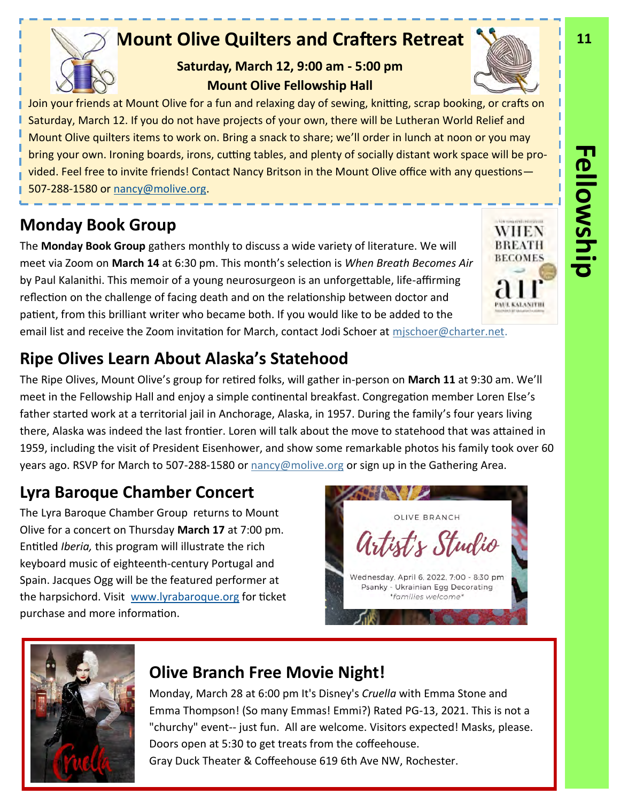# **Mount Olive Quilters and Crafters Retreat**

**Saturday, March 12, 9:00 am - 5:00 pm Mount Olive Fellowship Hall** 

Join your friends at Mount Olive for a fun and relaxing day of sewing, knitting, scrap booking, or crafts on Saturday, March 12. If you do not have projects of your own, there will be Lutheran World Relief and Mount Olive quilters items to work on. Bring a snack to share; we'll order in lunch at noon or you may bring your own. Ironing boards, irons, cutting tables, and plenty of socially distant work space will be provided. Feel free to invite friends! Contact Nancy Britson in the Mount Olive office with any questions— 507-288-1580 or [nancy@molive.org.](mailto:nancy@molive.org)

# **Monday Book Group**

The **Monday Book Group** gathers monthly to discuss a wide variety of literature. We will meet via Zoom on **March 14** at 6:30 pm. This month's selection is *When Breath Becomes Air*  by Paul Kalanithi. This memoir of a young neurosurgeon is an unforgettable, life-affirming reflection on the challenge of facing death and on the relationship between doctor and patient, from this brilliant writer who became both. If you would like to be added to the email list and receive the Zoom invitation for March, contact Jodi Schoer at [mjschoer@charter.net.](mailto:mjschoer@charter.net)

# **Ripe Olives Learn About Alaska's Statehood**

The Ripe Olives, Mount Olive's group for retired folks, will gather in-person on **March 11** at 9:30 am. We'll meet in the Fellowship Hall and enjoy a simple continental breakfast. Congregation member Loren Else's father started work at a territorial jail in Anchorage, Alaska, in 1957. During the family's four years living there, Alaska was indeed the last frontier. Loren will talk about the move to statehood that was attained in 1959, including the visit of President Eisenhower, and show some remarkable photos his family took over 60 years ago. RSVP for March to 507-288-1580 or [nancy@molive.org](mailto:nancy@molive.org) or sign up in the Gathering Area.

# **Lyra Baroque Chamber Concert**

The Lyra Baroque Chamber Group returns to Mount Olive for a concert on Thursday **March 17** at 7:00 pm. Entitled *Iberia,* this program will illustrate the rich keyboard music of eighteenth-century Portugal and Spain. Jacques Ogg will be the featured performer at the harpsichord. Visit [www.lyrabaroque.org](https://lyrabaroque.org/) for ticket purchase and more information.



Monday, March 28 at 6:00 pm It's Disney's *Cruella* with Emma Stone and Emma Thompson! (So many Emmas! Emmi?) Rated PG-13, 2021. This is not a "churchy" event-- just fun. All are welcome. Visitors expected! Masks, please. Doors open at 5:30 to get treats from the coffeehouse. Gray Duck Theater & Coffeehouse 619 6th Ave NW, Rochester.

# **Fellowship**





**University of Property** WHEN **BREATH BECOMES** 

PAUL KALANITHI